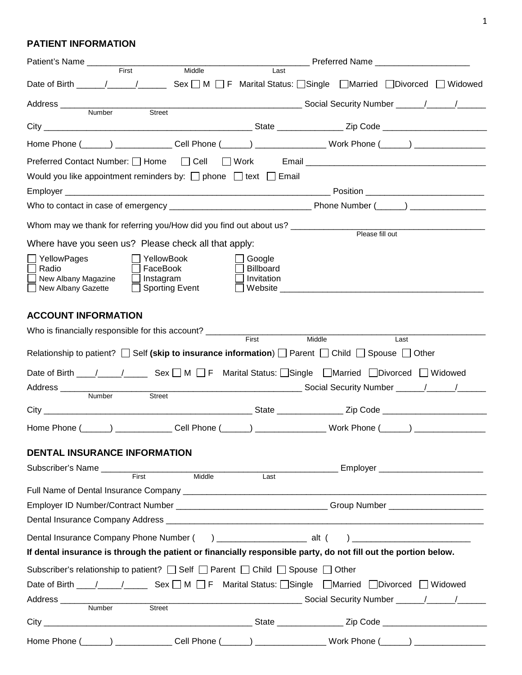### **PATIENT INFORMATION**

| Patient's Name _____                                                                                    | Preferred Name ___________________                                                                                         |  |
|---------------------------------------------------------------------------------------------------------|----------------------------------------------------------------------------------------------------------------------------|--|
| First<br>Middle                                                                                         | Last                                                                                                                       |  |
|                                                                                                         |                                                                                                                            |  |
| Address _______________________<br>Number<br>Street                                                     |                                                                                                                            |  |
|                                                                                                         |                                                                                                                            |  |
|                                                                                                         | Home Phone (_____) _______________Cell Phone (_____) __________________Work Phone (_____) ________________                 |  |
| Preferred Contact Number: □ Home                                                                        |                                                                                                                            |  |
| Would you like appointment reminders by: $\Box$ phone $\Box$ text $\Box$ Email                          |                                                                                                                            |  |
|                                                                                                         |                                                                                                                            |  |
|                                                                                                         |                                                                                                                            |  |
| Whom may we thank for referring you/How did you find out about us? _____________                        |                                                                                                                            |  |
| Where have you seen us? Please check all that apply:                                                    | Please fill out                                                                                                            |  |
|                                                                                                         |                                                                                                                            |  |
| $\Box$ YellowPages<br>YellowBook<br>Radio<br>FaceBook                                                   | Google<br><b>Billboard</b>                                                                                                 |  |
| New Albany Magazine<br>Instagram                                                                        | Invitation                                                                                                                 |  |
| <b>Sporting Event</b><br>New Albany Gazette                                                             |                                                                                                                            |  |
|                                                                                                         |                                                                                                                            |  |
| <b>ACCOUNT INFORMATION</b>                                                                              |                                                                                                                            |  |
| Who is financially responsible for this account? _________                                              | First<br>Middle<br>Last                                                                                                    |  |
|                                                                                                         | Relationship to patient? $\Box$ Self (skip to insurance information) $\Box$ Parent $\Box$ Child $\Box$ Spouse $\Box$ Other |  |
|                                                                                                         |                                                                                                                            |  |
|                                                                                                         |                                                                                                                            |  |
| Number<br><b>Street</b>                                                                                 | __________________________________Social Security Number _______/_______/_______                                           |  |
|                                                                                                         |                                                                                                                            |  |
|                                                                                                         | Home Phone (_____) _______________Cell Phone (_____) __________________Work Phone (_____) ________________                 |  |
|                                                                                                         |                                                                                                                            |  |
| <b>DENTAL INSURANCE INFORMATION</b>                                                                     |                                                                                                                            |  |
| Subscriber's Name                                                                                       | Employer ___________________________                                                                                       |  |
| First<br>Middle                                                                                         | Last                                                                                                                       |  |
|                                                                                                         |                                                                                                                            |  |
|                                                                                                         | Employer ID Number/Contract Number ________________________________Group Number ____________________                       |  |
|                                                                                                         |                                                                                                                            |  |
|                                                                                                         |                                                                                                                            |  |
|                                                                                                         | If dental insurance is through the patient or financially responsible party, do not fill out the portion below.            |  |
| Subscriber's relationship to patient? $\Box$ Self $\Box$ Parent $\Box$ Child $\Box$ Spouse $\Box$ Other |                                                                                                                            |  |
|                                                                                                         | Date of Birth ____/_____/ Sex □ M □ F Marital Status: □Single □Married □Divorced □ Widowed                                 |  |
| Address _____                                                                                           |                                                                                                                            |  |
| <b>Number</b><br><b>Street</b>                                                                          |                                                                                                                            |  |
|                                                                                                         |                                                                                                                            |  |
|                                                                                                         | Home Phone (_____) _______________Cell Phone (_____) __________________Work Phone (_____) ________________                 |  |
|                                                                                                         |                                                                                                                            |  |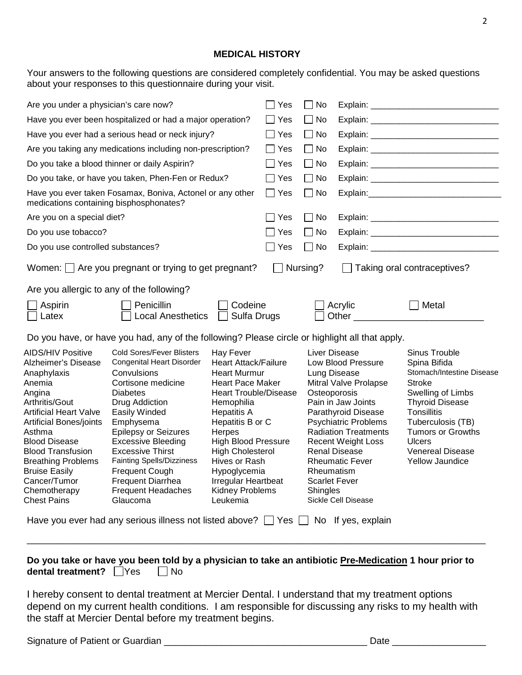### **MEDICAL HISTORY**

Your answers to the following questions are considered completely confidential. You may be asked questions about your responses to this questionnaire during your visit.

| Are you under a physician's care now?                                                                                                                                                                                                                                                                                              |                                                                                                                                                                                                                                                                                                                                                                                                                                                                               | $\Box$ Yes                                                                                                                                                                                                                                                                                                                                          | No         |                                                                                                        |                                                                                                                                                                                                                                                                                    |                                                                                                                                                                                                                                                                  |
|------------------------------------------------------------------------------------------------------------------------------------------------------------------------------------------------------------------------------------------------------------------------------------------------------------------------------------|-------------------------------------------------------------------------------------------------------------------------------------------------------------------------------------------------------------------------------------------------------------------------------------------------------------------------------------------------------------------------------------------------------------------------------------------------------------------------------|-----------------------------------------------------------------------------------------------------------------------------------------------------------------------------------------------------------------------------------------------------------------------------------------------------------------------------------------------------|------------|--------------------------------------------------------------------------------------------------------|------------------------------------------------------------------------------------------------------------------------------------------------------------------------------------------------------------------------------------------------------------------------------------|------------------------------------------------------------------------------------------------------------------------------------------------------------------------------------------------------------------------------------------------------------------|
| Have you ever been hospitalized or had a major operation?                                                                                                                                                                                                                                                                          |                                                                                                                                                                                                                                                                                                                                                                                                                                                                               | $\Box$ Yes                                                                                                                                                                                                                                                                                                                                          | <b>No</b>  |                                                                                                        |                                                                                                                                                                                                                                                                                    |                                                                                                                                                                                                                                                                  |
| Have you ever had a serious head or neck injury?                                                                                                                                                                                                                                                                                   |                                                                                                                                                                                                                                                                                                                                                                                                                                                                               | $\Box$ Yes                                                                                                                                                                                                                                                                                                                                          | $\Box$ No  |                                                                                                        |                                                                                                                                                                                                                                                                                    |                                                                                                                                                                                                                                                                  |
|                                                                                                                                                                                                                                                                                                                                    | Are you taking any medications including non-prescription?                                                                                                                                                                                                                                                                                                                                                                                                                    |                                                                                                                                                                                                                                                                                                                                                     | $\Box$ Yes | $\Box$ No                                                                                              |                                                                                                                                                                                                                                                                                    |                                                                                                                                                                                                                                                                  |
| Do you take a blood thinner or daily Aspirin?                                                                                                                                                                                                                                                                                      |                                                                                                                                                                                                                                                                                                                                                                                                                                                                               | $\Box$ Yes                                                                                                                                                                                                                                                                                                                                          | $\Box$ No  |                                                                                                        |                                                                                                                                                                                                                                                                                    |                                                                                                                                                                                                                                                                  |
| Do you take, or have you taken, Phen-Fen or Redux?                                                                                                                                                                                                                                                                                 |                                                                                                                                                                                                                                                                                                                                                                                                                                                                               | $\Box$ Yes                                                                                                                                                                                                                                                                                                                                          | $\Box$ No  |                                                                                                        |                                                                                                                                                                                                                                                                                    |                                                                                                                                                                                                                                                                  |
| Have you ever taken Fosamax, Boniva, Actonel or any other<br>medications containing bisphosphonates?                                                                                                                                                                                                                               |                                                                                                                                                                                                                                                                                                                                                                                                                                                                               | $\Box$ Yes                                                                                                                                                                                                                                                                                                                                          | $\Box$ No  |                                                                                                        |                                                                                                                                                                                                                                                                                    |                                                                                                                                                                                                                                                                  |
| Are you on a special diet?                                                                                                                                                                                                                                                                                                         |                                                                                                                                                                                                                                                                                                                                                                                                                                                                               | $\Box$ Yes                                                                                                                                                                                                                                                                                                                                          | $\Box$ No  |                                                                                                        |                                                                                                                                                                                                                                                                                    |                                                                                                                                                                                                                                                                  |
| Do you use tobacco?                                                                                                                                                                                                                                                                                                                |                                                                                                                                                                                                                                                                                                                                                                                                                                                                               | $\Box$ Yes                                                                                                                                                                                                                                                                                                                                          | $\Box$ No  |                                                                                                        |                                                                                                                                                                                                                                                                                    |                                                                                                                                                                                                                                                                  |
| Do you use controlled substances?                                                                                                                                                                                                                                                                                                  |                                                                                                                                                                                                                                                                                                                                                                                                                                                                               |                                                                                                                                                                                                                                                                                                                                                     | $\Box$ Yes | $\Box$ No                                                                                              |                                                                                                                                                                                                                                                                                    |                                                                                                                                                                                                                                                                  |
|                                                                                                                                                                                                                                                                                                                                    | Women: $\Box$ Are you pregnant or trying to get pregnant?                                                                                                                                                                                                                                                                                                                                                                                                                     |                                                                                                                                                                                                                                                                                                                                                     |            | Nursing?                                                                                               |                                                                                                                                                                                                                                                                                    | $\Box$ Taking oral contraceptives?                                                                                                                                                                                                                               |
| Are you allergic to any of the following?                                                                                                                                                                                                                                                                                          |                                                                                                                                                                                                                                                                                                                                                                                                                                                                               |                                                                                                                                                                                                                                                                                                                                                     |            |                                                                                                        |                                                                                                                                                                                                                                                                                    |                                                                                                                                                                                                                                                                  |
| Aspirin<br>Latex                                                                                                                                                                                                                                                                                                                   | Penicillin<br><b>Local Anesthetics</b>                                                                                                                                                                                                                                                                                                                                                                                                                                        | Codeine<br>Sulfa Drugs<br>$\Box$                                                                                                                                                                                                                                                                                                                    |            |                                                                                                        | Acrylic                                                                                                                                                                                                                                                                            | Metal                                                                                                                                                                                                                                                            |
|                                                                                                                                                                                                                                                                                                                                    | Do you have, or have you had, any of the following? Please circle or highlight all that apply.                                                                                                                                                                                                                                                                                                                                                                                |                                                                                                                                                                                                                                                                                                                                                     |            |                                                                                                        |                                                                                                                                                                                                                                                                                    |                                                                                                                                                                                                                                                                  |
| <b>AIDS/HIV Positive</b><br>Alzheimer's Disease<br>Anaphylaxis<br>Anemia<br>Angina<br>Arthritis/Gout<br><b>Artificial Heart Valve</b><br>Artificial Bones/joints<br>Asthma<br>Blood Disease<br><b>Blood Transfusion</b><br><b>Breathing Problems</b><br><b>Bruise Easily</b><br>Cancer/Tumor<br>Chemotherapy<br><b>Chest Pains</b> | <b>Cold Sores/Fever Blisters</b><br><b>Congenital Heart Disorder</b><br>Convulsions<br>Cortisone medicine<br><b>Diabetes</b><br>Drug Addiction<br>Easily Winded<br>Emphysema<br><b>Epilepsy or Seizures</b><br><b>Excessive Bleeding</b><br><b>Excessive Thirst</b><br><b>Fainting Spells/Dizziness</b><br><b>Frequent Cough</b><br><b>Frequent Diarrhea</b><br><b>Frequent Headaches</b><br>Glaucoma<br>Have you ever had any serious illness not listed above? $\Box$ Yes [ | <b>Hay Fever</b><br><b>Heart Attack/Failure</b><br><b>Heart Murmur</b><br><b>Heart Pace Maker</b><br><b>Heart Trouble/Disease</b><br>Hemophilia<br><b>Hepatitis A</b><br>Hepatitis B or C<br>Herpes<br><b>High Blood Pressure</b><br><b>High Cholesterol</b><br>Hives or Rash<br>Hypoglycemia<br>Irregular Heartbeat<br>Kidney Problems<br>Leukemia |            | <b>Liver Disease</b><br>Lung Disease<br>Osteoporosis<br>Rheumatism<br><b>Scarlet Fever</b><br>Shingles | Low Blood Pressure<br>Mitral Valve Prolapse<br>Pain in Jaw Joints<br>Parathyroid Disease<br><b>Psychiatric Problems</b><br><b>Radiation Treatments</b><br><b>Recent Weight Loss</b><br><b>Renal Disease</b><br><b>Rheumatic Fever</b><br>Sickle Cell Disease<br>No If yes, explain | Sinus Trouble<br>Spina Bifida<br>Stomach/Intestine Disease<br><b>Stroke</b><br>Swelling of Limbs<br><b>Thyroid Disease</b><br><b>Tonsillitis</b><br>Tuberculosis (TB)<br><b>Tumors or Growths</b><br><b>Ulcers</b><br><b>Venereal Disease</b><br>Yellow Jaundice |

### **Do you take or have you been told by a physician to take an antibiotic Pre-Medication 1 hour prior to dental treatment? T**Yes TNo

\_\_\_\_\_\_\_\_\_\_\_\_\_\_\_\_\_\_\_\_\_\_\_\_\_\_\_\_\_\_\_\_\_\_\_\_\_\_\_\_\_\_\_\_\_\_\_\_\_\_\_\_\_\_\_\_\_\_\_\_\_\_\_\_\_\_\_\_\_\_\_\_\_\_\_\_\_\_\_\_\_\_\_\_\_\_\_\_

I hereby consent to dental treatment at Mercier Dental. I understand that my treatment options depend on my current health conditions. I am responsible for discussing any risks to my health with the staff at Mercier Dental before my treatment begins.

Signature of Patient or Guardian \_\_\_\_\_\_\_\_\_\_\_\_\_\_\_\_\_\_\_\_\_\_\_\_\_\_\_\_\_\_\_\_\_\_\_\_\_\_\_ Date \_\_\_\_\_\_\_\_\_\_\_\_\_\_\_\_\_\_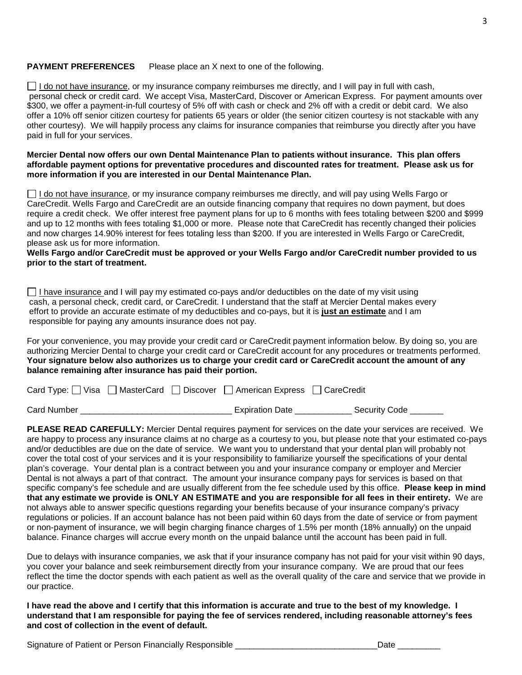### **PAYMENT PREFERENCES** Please place an X next to one of the following.

 $\Box$  I do not have insurance, or my insurance company reimburses me directly, and I will pay in full with cash, personal check or credit card. We accept Visa, MasterCard, Discover or American Express. For payment amounts over \$300, we offer a payment-in-full courtesy of 5% off with cash or check and 2% off with a credit or debit card. We also offer a 10% off senior citizen courtesy for patients 65 years or older (the senior citizen courtesy is not stackable with any other courtesy). We will happily process any claims for insurance companies that reimburse you directly after you have paid in full for your services.

### **Mercier Dental now offers our own Dental Maintenance Plan to patients without insurance. This plan offers affordable payment options for preventative procedures and discounted rates for treatment. Please ask us for more information if you are interested in our Dental Maintenance Plan.**

 $\Box$  I do not have insurance, or my insurance company reimburses me directly, and will pay using Wells Fargo or CareCredit. Wells Fargo and CareCredit are an outside financing company that requires no down payment, but does require a credit check. We offer interest free payment plans for up to 6 months with fees totaling between \$200 and \$999 and up to 12 months with fees totaling \$1,000 or more. Please note that CareCredit has recently changed their policies and now charges 14.90% interest for fees totaling less than \$200. If you are interested in Wells Fargo or CareCredit, please ask us for more information.

### **Wells Fargo and/or CareCredit must be approved or your Wells Fargo and/or CareCredit number provided to us prior to the start of treatment.**

 $\Box$  I have insurance and I will pay my estimated co-pays and/or deductibles on the date of my visit using cash, a personal check, credit card, or CareCredit. I understand that the staff at Mercier Dental makes every effort to provide an accurate estimate of my deductibles and co-pays, but it is **just an estimate** and I am responsible for paying any amounts insurance does not pay.

For your convenience, you may provide your credit card or CareCredit payment information below. By doing so, you are authorizing Mercier Dental to charge your credit card or CareCredit account for any procedures or treatments performed. **Your signature below also authorizes us to charge your credit card or CareCredit account the amount of any balance remaining after insurance has paid their portion.** 

| Card Type: U Visa   MasterCard   Discover   American Express   CareCredit |  |  |
|---------------------------------------------------------------------------|--|--|
|---------------------------------------------------------------------------|--|--|

Card Number \_\_\_\_\_\_\_\_\_\_\_\_\_\_\_\_\_\_\_\_\_\_\_\_\_\_\_\_\_\_\_\_ Expiration Date \_\_\_\_\_\_\_\_\_\_\_\_ Security Code \_\_\_\_\_\_\_

**PLEASE READ CAREFULLY:** Mercier Dental requires payment for services on the date your services are received. We are happy to process any insurance claims at no charge as a courtesy to you, but please note that your estimated co-pays and/or deductibles are due on the date of service. We want you to understand that your dental plan will probably not cover the total cost of your services and it is your responsibility to familiarize yourself the specifications of your dental plan's coverage. Your dental plan is a contract between you and your insurance company or employer and Mercier Dental is not always a part of that contract. The amount your insurance company pays for services is based on that specific company's fee schedule and are usually different from the fee schedule used by this office. **Please keep in mind that any estimate we provide is ONLY AN ESTIMATE and you are responsible for all fees in their entirety.** We are not always able to answer specific questions regarding your benefits because of your insurance company's privacy regulations or policies. If an account balance has not been paid within 60 days from the date of service or from payment or non-payment of insurance, we will begin charging finance charges of 1.5% per month (18% annually) on the unpaid balance. Finance charges will accrue every month on the unpaid balance until the account has been paid in full.

Due to delays with insurance companies, we ask that if your insurance company has not paid for your visit within 90 days, you cover your balance and seek reimbursement directly from your insurance company. We are proud that our fees reflect the time the doctor spends with each patient as well as the overall quality of the care and service that we provide in our practice.

**I have read the above and I certify that this information is accurate and true to the best of my knowledge. I understand that I am responsible for paying the fee of services rendered, including reasonable attorney's fees and cost of collection in the event of default.**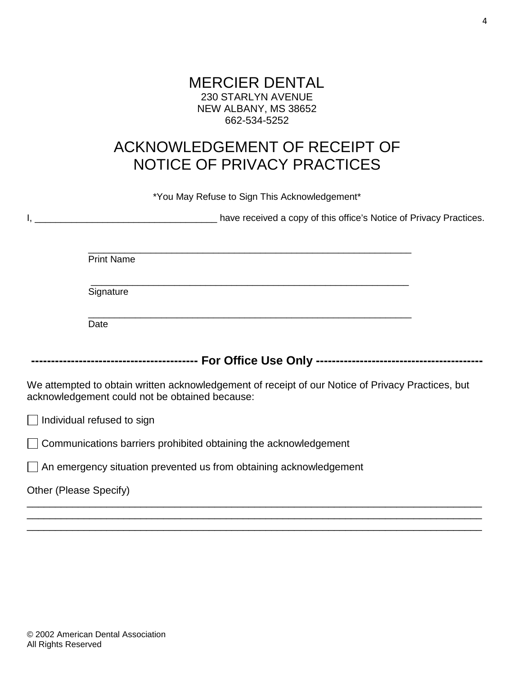### MERCIER DENTAL 230 STARLYN AVENUE NEW ALBANY, MS 38652 662-534-5252

### ACKNOWLEDGEMENT OF RECEIPT OF NOTICE OF PRIVACY PRACTICES

\*You May Refuse to Sign This Acknowledgement\*

|  | have received a copy of this office's Notice of Privacy Practices. |
|--|--------------------------------------------------------------------|
|--|--------------------------------------------------------------------|

\_\_\_\_\_\_\_\_\_\_\_\_\_\_\_\_\_\_\_\_\_\_\_\_\_\_\_\_\_\_\_\_\_\_\_\_\_\_\_\_\_\_\_\_\_\_\_\_\_\_\_\_\_\_\_\_\_\_\_\_\_\_ Print Name

\_\_\_\_\_\_\_\_\_\_\_\_\_\_\_\_\_\_\_\_\_\_\_\_\_\_\_\_\_\_\_\_\_\_\_\_\_\_\_\_\_\_\_\_\_\_\_\_\_\_\_\_\_\_\_\_\_\_\_\_\_ **Signature** 

Date

**------------------------------------------ For Office Use Only ------------------------------------------**

\_\_\_\_\_\_\_\_\_\_\_\_\_\_\_\_\_\_\_\_\_\_\_\_\_\_\_\_\_\_\_\_\_\_\_\_\_\_\_\_\_\_\_\_\_\_\_\_\_\_\_\_\_\_\_\_\_\_\_\_\_\_

We attempted to obtain written acknowledgement of receipt of our Notice of Privacy Practices, but acknowledgement could not be obtained because:

\_\_\_\_\_\_\_\_\_\_\_\_\_\_\_\_\_\_\_\_\_\_\_\_\_\_\_\_\_\_\_\_\_\_\_\_\_\_\_\_\_\_\_\_\_\_\_\_\_\_\_\_\_\_\_\_\_\_\_\_\_\_\_\_\_\_\_\_\_\_\_\_\_\_\_\_\_\_\_\_ \_\_\_\_\_\_\_\_\_\_\_\_\_\_\_\_\_\_\_\_\_\_\_\_\_\_\_\_\_\_\_\_\_\_\_\_\_\_\_\_\_\_\_\_\_\_\_\_\_\_\_\_\_\_\_\_\_\_\_\_\_\_\_\_\_\_\_\_\_\_\_\_\_\_\_\_\_\_\_\_ \_\_\_\_\_\_\_\_\_\_\_\_\_\_\_\_\_\_\_\_\_\_\_\_\_\_\_\_\_\_\_\_\_\_\_\_\_\_\_\_\_\_\_\_\_\_\_\_\_\_\_\_\_\_\_\_\_\_\_\_\_\_\_\_\_\_\_\_\_\_\_\_\_\_\_\_\_\_\_\_

 $\Box$  Individual refused to sign

Communications barriers prohibited obtaining the acknowledgement

An emergency situation prevented us from obtaining acknowledgement

Other (Please Specify)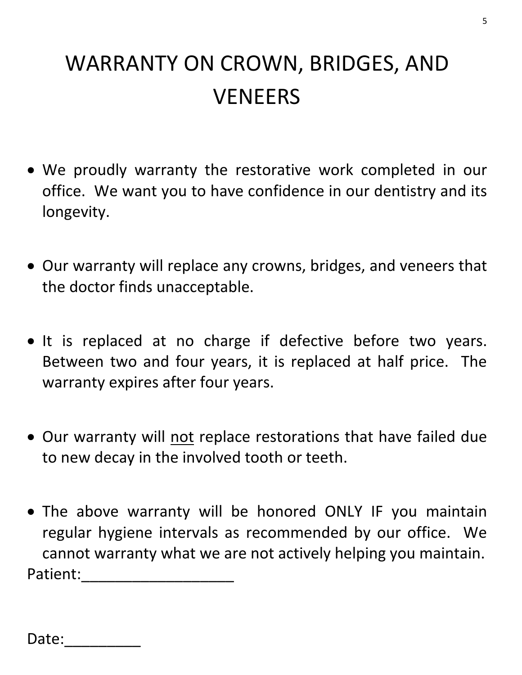## WARRANTY ON CROWN, BRIDGES, AND VENEERS

- We proudly warranty the restorative work completed in our office. We want you to have confidence in our dentistry and its longevity.
- Our warranty will replace any crowns, bridges, and veneers that the doctor finds unacceptable.
- It is replaced at no charge if defective before two years. Between two and four years, it is replaced at half price. The warranty expires after four years.
- Our warranty will not replace restorations that have failed due to new decay in the involved tooth or teeth.
- The above warranty will be honored ONLY IF you maintain regular hygiene intervals as recommended by our office. We cannot warranty what we are not actively helping you maintain. Patient:\_\_\_\_\_\_\_\_\_\_\_\_\_\_\_\_\_\_

Date:\_\_\_\_\_\_\_\_\_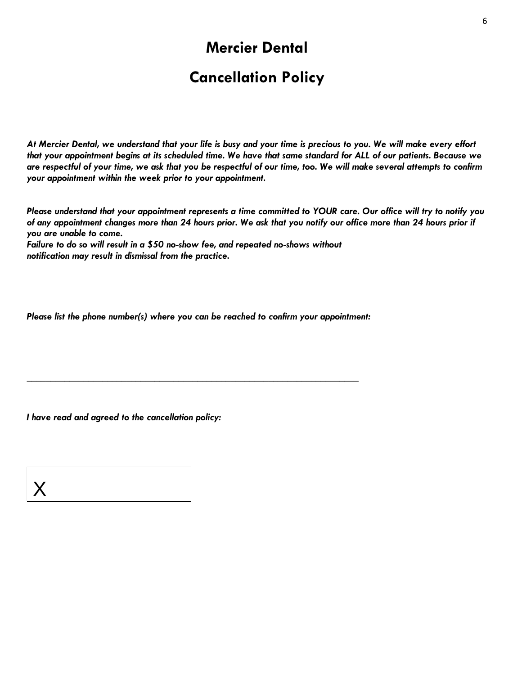### **Mercier Dental**

### **Cancellation Policy**

*At Mercier Dental, we understand that your life is busy and your time is precious to you. We will make every effort that your appointment begins at its scheduled time. We have that same standard for ALL of our patients. Because we are respectful of your time, we ask that you be respectful of our time, too. We will make several attempts to confirm your appointment within the week prior to your appointment.* 

*Please understand that your appointment represents a time committed to YOUR care. Our office will try to notify you of any appointment changes more than 24 hours prior. We ask that you notify our office more than 24 hours prior if you are unable to come.* 

*Failure to do so will result in a \$50 no-show fee, and repeated no-shows without notification may result in dismissal from the practice.*

*Please list the phone number(s) where you can be reached to confirm your appointment:*

\_\_\_\_\_\_\_\_\_\_\_\_\_\_\_\_\_\_\_\_\_\_\_\_\_\_\_\_\_\_\_\_\_\_\_\_\_\_\_\_\_\_\_\_\_\_\_\_\_\_\_\_\_\_\_\_\_\_\_\_\_\_\_\_\_\_\_\_\_\_

*I have read and agreed to the cancellation policy:*

X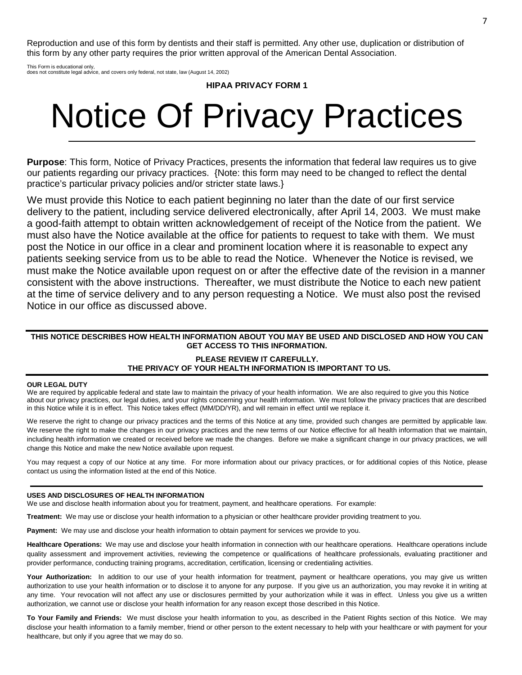Reproduction and use of this form by dentists and their staff is permitted. Any other use, duplication or distribution of this form by any other party requires the prior written approval of the American Dental Association.

This Form is educational only, does not constitute legal advice, and covers only federal, not state, law (August 14, 2002)

**HIPAA PRIVACY FORM 1**

# Notice Of Privacy Practices

**Purpose**: This form, Notice of Privacy Practices, presents the information that federal law requires us to give our patients regarding our privacy practices. {Note: this form may need to be changed to reflect the dental practice's particular privacy policies and/or stricter state laws.}

We must provide this Notice to each patient beginning no later than the date of our first service delivery to the patient, including service delivered electronically, after April 14, 2003. We must make a good-faith attempt to obtain written acknowledgement of receipt of the Notice from the patient. We must also have the Notice available at the office for patients to request to take with them. We must post the Notice in our office in a clear and prominent location where it is reasonable to expect any patients seeking service from us to be able to read the Notice. Whenever the Notice is revised, we must make the Notice available upon request on or after the effective date of the revision in a manner consistent with the above instructions. Thereafter, we must distribute the Notice to each new patient at the time of service delivery and to any person requesting a Notice. We must also post the revised Notice in our office as discussed above.

### **THIS NOTICE DESCRIBES HOW HEALTH INFORMATION ABOUT YOU MAY BE USED AND DISCLOSED AND HOW YOU CAN GET ACCESS TO THIS INFORMATION.**

### **PLEASE REVIEW IT CAREFULLY. THE PRIVACY OF YOUR HEALTH INFORMATION IS IMPORTANT TO US.**

### **OUR LEGAL DUTY**

We are required by applicable federal and state law to maintain the privacy of your health information. We are also required to give you this Notice about our privacy practices, our legal duties, and your rights concerning your health information. We must follow the privacy practices that are described in this Notice while it is in effect. This Notice takes effect (MM/DD/YR), and will remain in effect until we replace it.

We reserve the right to change our privacy practices and the terms of this Notice at any time, provided such changes are permitted by applicable law. We reserve the right to make the changes in our privacy practices and the new terms of our Notice effective for all health information that we maintain, including health information we created or received before we made the changes. Before we make a significant change in our privacy practices, we will change this Notice and make the new Notice available upon request.

You may request a copy of our Notice at any time. For more information about our privacy practices, or for additional copies of this Notice, please contact us using the information listed at the end of this Notice.

### **USES AND DISCLOSURES OF HEALTH INFORMATION**

We use and disclose health information about you for treatment, payment, and healthcare operations. For example:

**Treatment:** We may use or disclose your health information to a physician or other healthcare provider providing treatment to you.

**Payment:** We may use and disclose your health information to obtain payment for services we provide to you.

**Healthcare Operations:** We may use and disclose your health information in connection with our healthcare operations. Healthcare operations include quality assessment and improvement activities, reviewing the competence or qualifications of healthcare professionals, evaluating practitioner and provider performance, conducting training programs, accreditation, certification, licensing or credentialing activities.

Your Authorization: In addition to our use of your health information for treatment, payment or healthcare operations, you may give us written authorization to use your health information or to disclose it to anyone for any purpose. If you give us an authorization, you may revoke it in writing at any time. Your revocation will not affect any use or disclosures permitted by your authorization while it was in effect. Unless you give us a written authorization, we cannot use or disclose your health information for any reason except those described in this Notice.

**To Your Family and Friends:** We must disclose your health information to you, as described in the Patient Rights section of this Notice. We may disclose your health information to a family member, friend or other person to the extent necessary to help with your healthcare or with payment for your healthcare, but only if you agree that we may do so.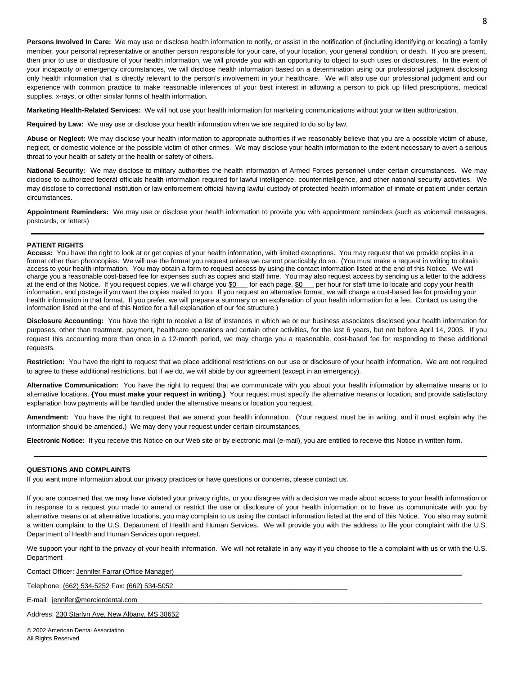Persons Involved In Care: We may use or disclose health information to notify, or assist in the notification of (including identifying or locating) a family member, your personal representative or another person responsible for your care, of your location, your general condition, or death. If you are present, then prior to use or disclosure of your health information, we will provide you with an opportunity to object to such uses or disclosures. In the event of your incapacity or emergency circumstances, we will disclose health information based on a determination using our professional judgment disclosing only health information that is directly relevant to the person's involvement in your healthcare. We will also use our professional judgment and our experience with common practice to make reasonable inferences of your best interest in allowing a person to pick up filled prescriptions, medical supplies, x-rays, or other similar forms of health information.

**Marketing Health-Related Services:** We will not use your health information for marketing communications without your written authorization.

**Required by Law:** We may use or disclose your health information when we are required to do so by law.

**Abuse or Neglect:** We may disclose your health information to appropriate authorities if we reasonably believe that you are a possible victim of abuse, neglect, or domestic violence or the possible victim of other crimes. We may disclose your health information to the extent necessary to avert a serious threat to your health or safety or the health or safety of others.

**National Security:** We may disclose to military authorities the health information of Armed Forces personnel under certain circumstances. We may disclose to authorized federal officials health information required for lawful intelligence, counterintelligence, and other national security activities. We may disclose to correctional institution or law enforcement official having lawful custody of protected health information of inmate or patient under certain circumstances.

**Appointment Reminders:** We may use or disclose your health information to provide you with appointment reminders (such as voicemail messages, postcards, or letters)

#### **PATIENT RIGHTS**

**Access:** You have the right to look at or get copies of your health information, with limited exceptions. You may request that we provide copies in a format other than photocopies. We will use the format you request unless we cannot practicably do so. (You must make a request in writing to obtain access to your health information. You may obtain a form to request access by using the contact information listed at the end of this Notice. We will charge you a reasonable cost-based fee for expenses such as copies and staff time. You may also request access by sending us a letter to the address at the end of this Notice. If you request copies, we will charge you \$0\_\_\_ for each page, \$0\_\_\_ per hour for staff time to locate and copy your health information, and postage if you want the copies mailed to you. If you request an alternative format, we will charge a cost-based fee for providing your health information in that format. If you prefer, we will prepare a summary or an explanation of your health information for a fee. Contact us using the information listed at the end of this Notice for a full explanation of our fee structure.)

**Disclosure Accounting:** You have the right to receive a list of instances in which we or our business associates disclosed your health information for purposes, other than treatment, payment, healthcare operations and certain other activities, for the last 6 years, but not before April 14, 2003.If you request this accounting more than once in a 12-month period, we may charge you a reasonable, cost-based fee for responding to these additional requests.

**Restriction:** You have the right to request that we place additional restrictions on our use or disclosure of your health information. We are not required to agree to these additional restrictions, but if we do, we will abide by our agreement (except in an emergency).

**Alternative Communication:** You have the right to request that we communicate with you about your health information by alternative means or to alternative locations. **{You must make your request in writing.}** Your request must specify the alternative means or location, and provide satisfactory explanation how payments will be handled under the alternative means or location you request.

**Amendment:** You have the right to request that we amend your health information. (Your request must be in writing, and it must explain why the information should be amended.) We may deny your request under certain circumstances.

**Electronic Notice:** If you receive this Notice on our Web site or by electronic mail (e-mail), you are entitled to receive this Notice in written form.

#### **QUESTIONS AND COMPLAINTS**

If you want more information about our privacy practices or have questions or concerns, please contact us.

If you are concerned that we may have violated your privacy rights, or you disagree with a decision we made about access to your health information or in response to a request you made to amend or restrict the use or disclosure of your health information or to have us communicate with you by alternative means or at alternative locations, you may complain to us using the contact information listed at the end of this Notice. You also may submit a written complaint to the U.S. Department of Health and Human Services. We will provide you with the address to file your complaint with the U.S. Department of Health and Human Services upon request.

We support your right to the privacy of your health information. We will not retaliate in any way if you choose to file a complaint with us or with the U.S. Department

Contact Officer: Jennifer Farrar (Office Manager)

Telephone: (662) 534-5252 Fax: (662) 534-5052

E-mail: jennifer@mercierdental.com

Address: 230 Starlyn Ave, New Albany, MS 38652

© 2002 American Dental Association All Rights Reserved